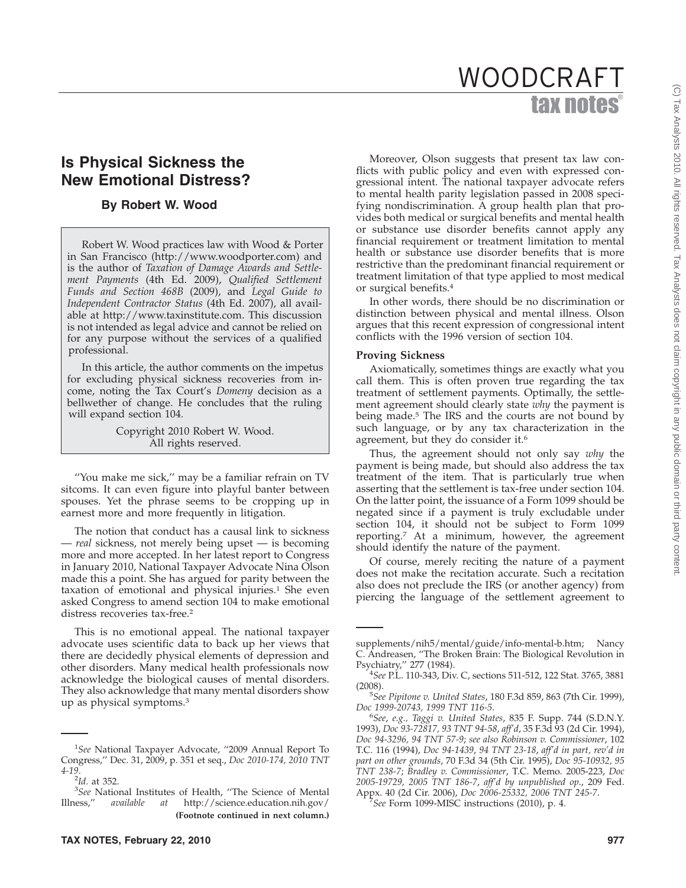# tax notes WOODCRAFT

# **Is Physical Sickness the New Emotional Distress?**

## **By Robert W. Wood**

Robert W. Wood practices law with Wood & Porter in San Francisco (http://www.woodporter.com) and is the author of *Taxation of Damage Awards and Settlement Payments* (4th Ed. 2009), *Qualified Settlement Funds and Section 468B* (2009), and *Legal Guide to Independent Contractor Status* (4th Ed. 2007), all available at http://www.taxinstitute.com. This discussion is not intended as legal advice and cannot be relied on for any purpose without the services of a qualified professional.

In this article, the author comments on the impetus for excluding physical sickness recoveries from income, noting the Tax Court's *Domeny* decision as a bellwether of change. He concludes that the ruling will expand section 104.

> Copyright 2010 Robert W. Wood. All rights reserved.

''You make me sick,'' may be a familiar refrain on TV sitcoms. It can even figure into playful banter between spouses. Yet the phrase seems to be cropping up in earnest more and more frequently in litigation.

The notion that conduct has a causal link to sickness — *real* sickness, not merely being upset — is becoming more and more accepted. In her latest report to Congress in January 2010, National Taxpayer Advocate Nina Olson made this a point. She has argued for parity between the taxation of emotional and physical injuries.<sup>1</sup> She even asked Congress to amend section 104 to make emotional distress recoveries tax-free.<sup>2</sup>

This is no emotional appeal. The national taxpayer advocate uses scientific data to back up her views that there are decidedly physical elements of depression and other disorders. Many medical health professionals now acknowledge the biological causes of mental disorders. They also acknowledge that many mental disorders show up as physical symptoms.3

Moreover, Olson suggests that present tax law conflicts with public policy and even with expressed congressional intent. The national taxpayer advocate refers to mental health parity legislation passed in 2008 specifying nondiscrimination. A group health plan that provides both medical or surgical benefits and mental health or substance use disorder benefits cannot apply any financial requirement or treatment limitation to mental health or substance use disorder benefits that is more restrictive than the predominant financial requirement or treatment limitation of that type applied to most medical or surgical benefits.4

In other words, there should be no discrimination or distinction between physical and mental illness. Olson argues that this recent expression of congressional intent conflicts with the 1996 version of section 104.

### **Proving Sickness**

Axiomatically, sometimes things are exactly what you call them. This is often proven true regarding the tax treatment of settlement payments. Optimally, the settlement agreement should clearly state *why* the payment is being made.<sup>5</sup> The IRS and the courts are not bound by such language, or by any tax characterization in the agreement, but they do consider it.<sup>6</sup>

Thus, the agreement should not only say *why* the payment is being made, but should also address the tax treatment of the item. That is particularly true when asserting that the settlement is tax-free under section 104. On the latter point, the issuance of a Form 1099 should be negated since if a payment is truly excludable under section 104, it should not be subject to Form 1099 reporting.7 At a minimum, however, the agreement should identify the nature of the payment.

Of course, merely reciting the nature of a payment does not make the recitation accurate. Such a recitation also does not preclude the IRS (or another agency) from piercing the language of the settlement agreement to

*See* Form 1099-MISC instructions (2010), p. 4.

<sup>1</sup> *See* National Taxpayer Advocate, ''2009 Annual Report To Congress,'' Dec. 31, 2009, p. 351 et seq., *Doc 2010-174, 2010 TNT 4-19*.

<sup>&</sup>lt;sup>2</sup>Id. at 352.<br><sup>3</sup>See Natio

<sup>&</sup>lt;sup>3</sup>See National Institutes of Health, "The Science of Mental less," *available at* http://science.education.nih.gov/ Illness,'' *available at* http://science.education.nih.gov/ **(Footnote continued in next column.)**

supplements/nih5/mental/guide/info-mental-b.htm; Nancy C. Andreasen, ''The Broken Brain: The Biological Revolution in Psychiatry,'' 277 (1984). <sup>4</sup>

*See* P.L. 110-343, Div. C, sections 511-512, 122 Stat. 3765, 3881  $(2008).$ 

*See Pipitone v. United States*, 180 F.3d 859, 863 (7th Cir. 1999), Doc 1999-20743, 1999 TNT 116-5.

*See*, *e.g., Taggi v. United States*, 835 F. Supp. 744 (S.D.N.Y. 1993), *Doc 93-72817, 93 TNT 94-58*, *aff'd*, 35 F.3d 93 (2d Cir. 1994), *Doc 94-3296, 94 TNT 57-9*; *see also Robinson v. Commissioner*, 102 T.C. 116 (1994), *Doc 94-1439*, *94 TNT 23-18*, *aff'd in part, rev'd in part on other grounds*, 70 F.3d 34 (5th Cir. 1995), *Doc 95-10932, 95 TNT 238-7*; *Bradley v. Commissioner*, T.C. Memo. 2005-223, *Doc 2005-19729, 2005 TNT 186-7*, *aff'd by unpublished op*., 209 Fed. Appx. 40 (2d Cir. 2006), *Doc 2006-25332, 2006 TNT 245-7*. <sup>7</sup>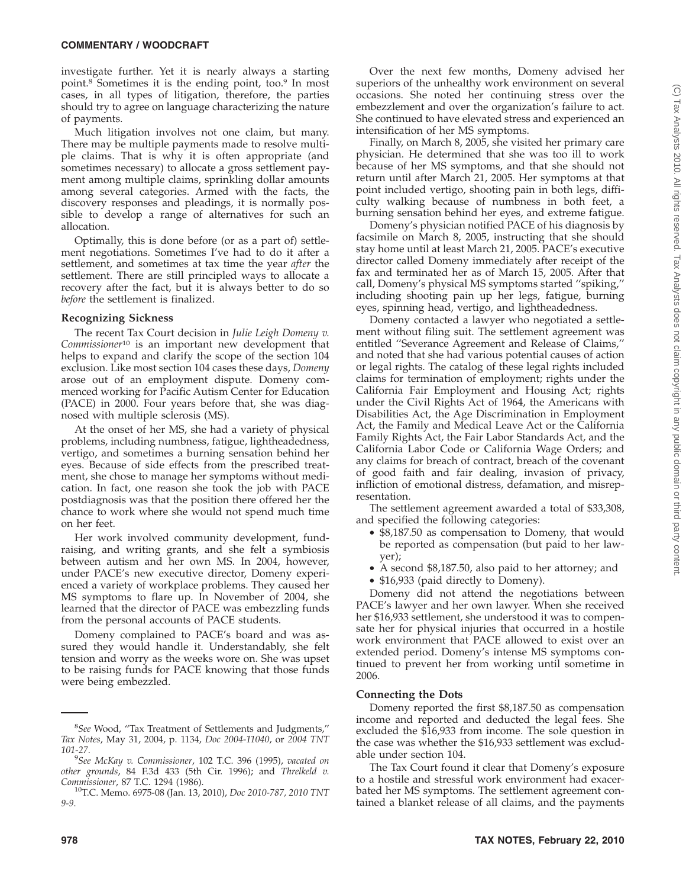investigate further. Yet it is nearly always a starting point.<sup>8</sup> Sometimes it is the ending point, too.<sup>9</sup> In most cases, in all types of litigation, therefore, the parties should try to agree on language characterizing the nature of payments.

Much litigation involves not one claim, but many. There may be multiple payments made to resolve multiple claims. That is why it is often appropriate (and sometimes necessary) to allocate a gross settlement payment among multiple claims, sprinkling dollar amounts among several categories. Armed with the facts, the discovery responses and pleadings, it is normally possible to develop a range of alternatives for such an allocation.

Optimally, this is done before (or as a part of) settlement negotiations. Sometimes I've had to do it after a settlement, and sometimes at tax time the year *after* the settlement. There are still principled ways to allocate a recovery after the fact, but it is always better to do so *before* the settlement is finalized.

#### **Recognizing Sickness**

The recent Tax Court decision in *Julie Leigh Domeny v. Commissioner*<sup>10</sup> is an important new development that helps to expand and clarify the scope of the section 104 exclusion. Like most section 104 cases these days, *Domeny* arose out of an employment dispute. Domeny commenced working for Pacific Autism Center for Education (PACE) in 2000. Four years before that, she was diagnosed with multiple sclerosis (MS).

At the onset of her MS, she had a variety of physical problems, including numbness, fatigue, lightheadedness, vertigo, and sometimes a burning sensation behind her eyes. Because of side effects from the prescribed treatment, she chose to manage her symptoms without medication. In fact, one reason she took the job with PACE postdiagnosis was that the position there offered her the chance to work where she would not spend much time on her feet.

Her work involved community development, fundraising, and writing grants, and she felt a symbiosis between autism and her own MS. In 2004, however, under PACE's new executive director, Domeny experienced a variety of workplace problems. They caused her MS symptoms to flare up. In November of 2004, she learned that the director of PACE was embezzling funds from the personal accounts of PACE students.

Domeny complained to PACE's board and was assured they would handle it. Understandably, she felt tension and worry as the weeks wore on. She was upset to be raising funds for PACE knowing that those funds were being embezzled.

Over the next few months, Domeny advised her superiors of the unhealthy work environment on several occasions. She noted her continuing stress over the embezzlement and over the organization's failure to act. She continued to have elevated stress and experienced an intensification of her MS symptoms.

Finally, on March 8, 2005, she visited her primary care physician. He determined that she was too ill to work because of her MS symptoms, and that she should not return until after March 21, 2005. Her symptoms at that point included vertigo, shooting pain in both legs, difficulty walking because of numbness in both feet, a burning sensation behind her eyes, and extreme fatigue.

Domeny's physician notified PACE of his diagnosis by facsimile on March 8, 2005, instructing that she should stay home until at least March 21, 2005. PACE's executive director called Domeny immediately after receipt of the fax and terminated her as of March 15, 2005. After that call, Domeny's physical MS symptoms started ''spiking,'' including shooting pain up her legs, fatigue, burning eyes, spinning head, vertigo, and lightheadedness.

Domeny contacted a lawyer who negotiated a settlement without filing suit. The settlement agreement was entitled ''Severance Agreement and Release of Claims,'' and noted that she had various potential causes of action or legal rights. The catalog of these legal rights included claims for termination of employment; rights under the California Fair Employment and Housing Act; rights under the Civil Rights Act of 1964, the Americans with Disabilities Act, the Age Discrimination in Employment Act, the Family and Medical Leave Act or the California Family Rights Act, the Fair Labor Standards Act, and the California Labor Code or California Wage Orders; and any claims for breach of contract, breach of the covenant of good faith and fair dealing, invasion of privacy, infliction of emotional distress, defamation, and misrepresentation.

The settlement agreement awarded a total of \$33,308, and specified the following categories:

- \$8,187.50 as compensation to Domeny, that would be reported as compensation (but paid to her lawyer);
- A second \$8,187.50, also paid to her attorney; and
- \$16,933 (paid directly to Domeny).

Domeny did not attend the negotiations between PACE's lawyer and her own lawyer. When she received her \$16,933 settlement, she understood it was to compensate her for physical injuries that occurred in a hostile work environment that PACE allowed to exist over an extended period. Domeny's intense MS symptoms continued to prevent her from working until sometime in 2006.

#### **Connecting the Dots**

Domeny reported the first \$8,187.50 as compensation income and reported and deducted the legal fees. She excluded the \$16,933 from income. The sole question in the case was whether the \$16,933 settlement was excludable under section 104.

The Tax Court found it clear that Domeny's exposure to a hostile and stressful work environment had exacerbated her MS symptoms. The settlement agreement contained a blanket release of all claims, and the payments

<sup>8</sup> *See* Wood, ''Tax Treatment of Settlements and Judgments,'' *Tax Notes*, May 31, 2004, p. 1134, *Doc 2004-11040*, or *2004 TNT 101-27*. <sup>9</sup>

*See McKay v. Commissioner*, 102 T.C. 396 (1995), *vacated on other grounds*, 84 F.3d 433 (5th Cir. 1996); and *Threlkeld v.*

<sup>&</sup>lt;sup>10</sup>T.C. Memo. 6975-08 (Jan. 13, 2010), *Doc 2010-787*, 2010 TNT *9-9*.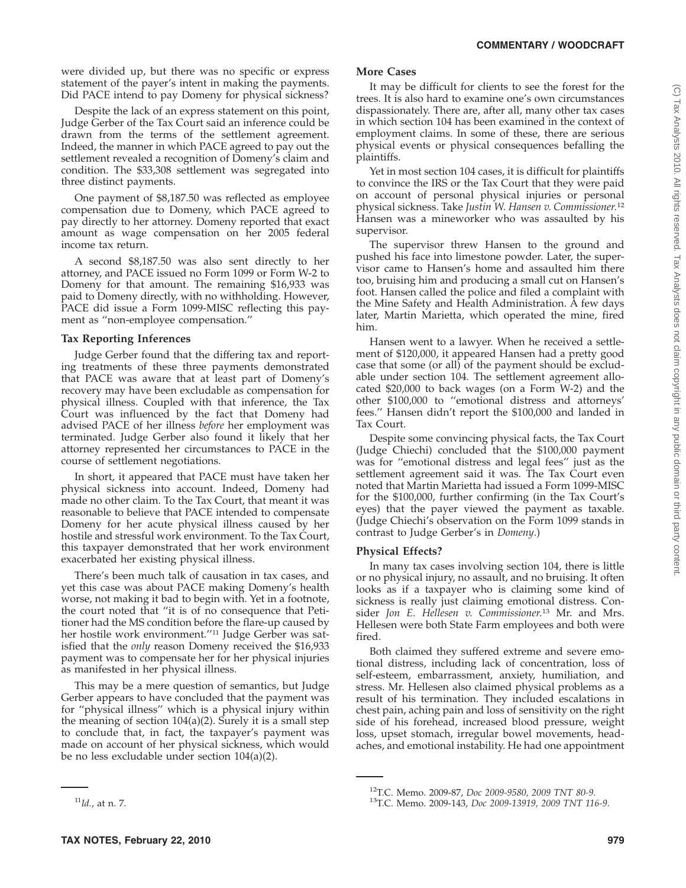were divided up, but there was no specific or express statement of the payer's intent in making the payments. Did PACE intend to pay Domeny for physical sickness?

Despite the lack of an express statement on this point, Judge Gerber of the Tax Court said an inference could be drawn from the terms of the settlement agreement. Indeed, the manner in which PACE agreed to pay out the settlement revealed a recognition of Domeny's claim and condition. The \$33,308 settlement was segregated into three distinct payments.

One payment of \$8,187.50 was reflected as employee compensation due to Domeny, which PACE agreed to pay directly to her attorney. Domeny reported that exact amount as wage compensation on her 2005 federal income tax return.

A second \$8,187.50 was also sent directly to her attorney, and PACE issued no Form 1099 or Form W-2 to Domeny for that amount. The remaining \$16,933 was paid to Domeny directly, with no withholding. However, PACE did issue a Form 1099-MISC reflecting this payment as ''non-employee compensation.''

#### **Tax Reporting Inferences**

Judge Gerber found that the differing tax and reporting treatments of these three payments demonstrated that PACE was aware that at least part of Domeny's recovery may have been excludable as compensation for physical illness. Coupled with that inference, the Tax Court was influenced by the fact that Domeny had advised PACE of her illness *before* her employment was terminated. Judge Gerber also found it likely that her attorney represented her circumstances to PACE in the course of settlement negotiations.

In short, it appeared that PACE must have taken her physical sickness into account. Indeed, Domeny had made no other claim. To the Tax Court, that meant it was reasonable to believe that PACE intended to compensate Domeny for her acute physical illness caused by her hostile and stressful work environment. To the Tax Court, this taxpayer demonstrated that her work environment exacerbated her existing physical illness.

There's been much talk of causation in tax cases, and yet this case was about PACE making Domeny's health worse, not making it bad to begin with. Yet in a footnote, the court noted that ''it is of no consequence that Petitioner had the MS condition before the flare-up caused by her hostile work environment.''11 Judge Gerber was satisfied that the *only* reason Domeny received the \$16,933 payment was to compensate her for her physical injuries as manifested in her physical illness.

This may be a mere question of semantics, but Judge Gerber appears to have concluded that the payment was for ''physical illness'' which is a physical injury within the meaning of section 104(a)(2). Surely it is a small step to conclude that, in fact, the taxpayer's payment was made on account of her physical sickness, which would be no less excludable under section 104(a)(2).

#### **More Cases**

It may be difficult for clients to see the forest for the trees. It is also hard to examine one's own circumstances dispassionately. There are, after all, many other tax cases in which section 104 has been examined in the context of employment claims. In some of these, there are serious physical events or physical consequences befalling the plaintiffs.

Yet in most section 104 cases, it is difficult for plaintiffs to convince the IRS or the Tax Court that they were paid on account of personal physical injuries or personal physical sickness. Take *Justin W. Hansen v. Commissioner.*<sup>12</sup> Hansen was a mineworker who was assaulted by his supervisor.

The supervisor threw Hansen to the ground and pushed his face into limestone powder. Later, the supervisor came to Hansen's home and assaulted him there too, bruising him and producing a small cut on Hansen's foot. Hansen called the police and filed a complaint with the Mine Safety and Health Administration. A few days later, Martin Marietta, which operated the mine, fired him.

Hansen went to a lawyer. When he received a settlement of \$120,000, it appeared Hansen had a pretty good case that some (or all) of the payment should be excludable under section 104. The settlement agreement allocated \$20,000 to back wages (on a Form W-2) and the other \$100,000 to ''emotional distress and attorneys' fees.'' Hansen didn't report the \$100,000 and landed in Tax Court.

Despite some convincing physical facts, the Tax Court (Judge Chiechi) concluded that the \$100,000 payment was for ''emotional distress and legal fees'' just as the settlement agreement said it was. The Tax Court even noted that Martin Marietta had issued a Form 1099-MISC for the \$100,000, further confirming (in the Tax Court's eyes) that the payer viewed the payment as taxable. (Judge Chiechi's observation on the Form 1099 stands in contrast to Judge Gerber's in *Domeny*.)

#### **Physical Effects?**

In many tax cases involving section 104, there is little or no physical injury, no assault, and no bruising. It often looks as if a taxpayer who is claiming some kind of sickness is really just claiming emotional distress. Consider *Jon E. Hellesen v. Commissioner.*<sup>13</sup> Mr. and Mrs. Hellesen were both State Farm employees and both were fired.

Both claimed they suffered extreme and severe emotional distress, including lack of concentration, loss of self-esteem, embarrassment, anxiety, humiliation, and stress. Mr. Hellesen also claimed physical problems as a result of his termination. They included escalations in chest pain, aching pain and loss of sensitivity on the right side of his forehead, increased blood pressure, weight loss, upset stomach, irregular bowel movements, headaches, and emotional instability. He had one appointment

<sup>11</sup>*Id.*, at n. 7.

<sup>12</sup>T.C. Memo. 2009-87, *Doc 2009-9580, 2009 TNT 80-9*. 13T.C. Memo. 2009-143, *Doc 2009-13919, 2009 TNT 116-9*.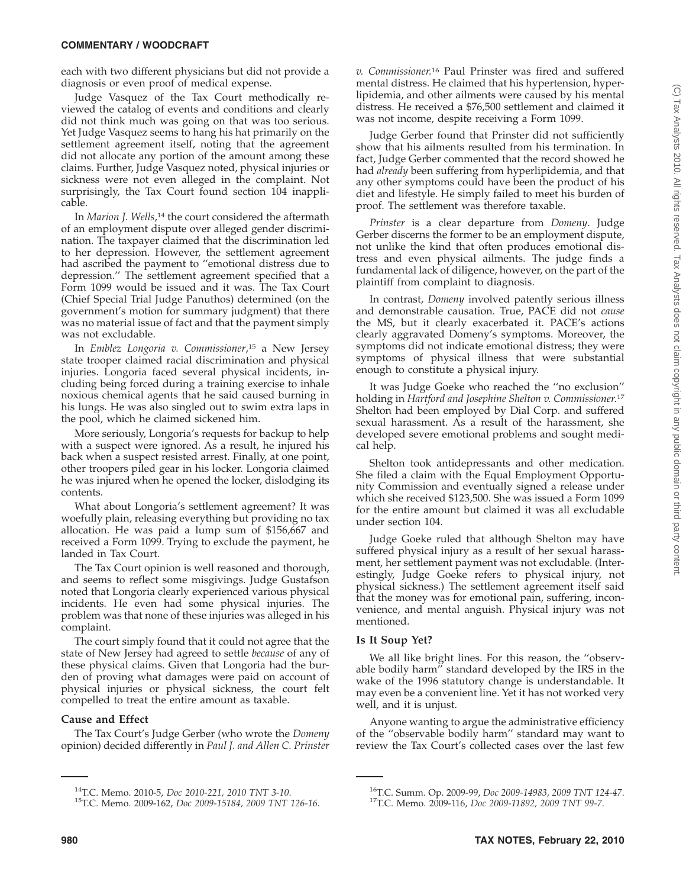#### **COMMENTARY / WOODCRAFT**

each with two different physicians but did not provide a diagnosis or even proof of medical expense.

Judge Vasquez of the Tax Court methodically reviewed the catalog of events and conditions and clearly did not think much was going on that was too serious. Yet Judge Vasquez seems to hang his hat primarily on the settlement agreement itself, noting that the agreement did not allocate any portion of the amount among these claims. Further, Judge Vasquez noted, physical injuries or sickness were not even alleged in the complaint. Not surprisingly, the Tax Court found section 104 inapplicable.

In *Marion J. Wells*,<sup>14</sup> the court considered the aftermath of an employment dispute over alleged gender discrimination. The taxpayer claimed that the discrimination led to her depression. However, the settlement agreement had ascribed the payment to ''emotional distress due to depression.'' The settlement agreement specified that a Form 1099 would be issued and it was. The Tax Court (Chief Special Trial Judge Panuthos) determined (on the government's motion for summary judgment) that there was no material issue of fact and that the payment simply was not excludable.

In *Emblez Longoria v. Commissioner*, <sup>15</sup> a New Jersey state trooper claimed racial discrimination and physical injuries. Longoria faced several physical incidents, including being forced during a training exercise to inhale noxious chemical agents that he said caused burning in his lungs. He was also singled out to swim extra laps in the pool, which he claimed sickened him.

More seriously, Longoria's requests for backup to help with a suspect were ignored. As a result, he injured his back when a suspect resisted arrest. Finally, at one point, other troopers piled gear in his locker. Longoria claimed he was injured when he opened the locker, dislodging its contents.

What about Longoria's settlement agreement? It was woefully plain, releasing everything but providing no tax allocation. He was paid a lump sum of \$156,667 and received a Form 1099. Trying to exclude the payment, he landed in Tax Court.

The Tax Court opinion is well reasoned and thorough, and seems to reflect some misgivings. Judge Gustafson noted that Longoria clearly experienced various physical incidents. He even had some physical injuries. The problem was that none of these injuries was alleged in his complaint.

The court simply found that it could not agree that the state of New Jersey had agreed to settle *because* of any of these physical claims. Given that Longoria had the burden of proving what damages were paid on account of physical injuries or physical sickness, the court felt compelled to treat the entire amount as taxable.

#### **Cause and Effect**

The Tax Court's Judge Gerber (who wrote the *Domeny* opinion) decided differently in *Paul J. and Allen C. Prinster* *v. Commissioner.*<sup>16</sup> Paul Prinster was fired and suffered mental distress. He claimed that his hypertension, hyperlipidemia, and other ailments were caused by his mental distress. He received a \$76,500 settlement and claimed it was not income, despite receiving a Form 1099.

Judge Gerber found that Prinster did not sufficiently show that his ailments resulted from his termination. In fact, Judge Gerber commented that the record showed he had *already* been suffering from hyperlipidemia, and that any other symptoms could have been the product of his diet and lifestyle. He simply failed to meet his burden of proof. The settlement was therefore taxable.

*Prinster* is a clear departure from *Domeny*. Judge Gerber discerns the former to be an employment dispute, not unlike the kind that often produces emotional distress and even physical ailments. The judge finds a fundamental lack of diligence, however, on the part of the plaintiff from complaint to diagnosis.

In contrast, *Domeny* involved patently serious illness and demonstrable causation. True, PACE did not *cause* the MS, but it clearly exacerbated it. PACE's actions clearly aggravated Domeny's symptoms. Moreover, the symptoms did not indicate emotional distress; they were symptoms of physical illness that were substantial enough to constitute a physical injury.

It was Judge Goeke who reached the ''no exclusion'' holding in *Hartford and Josephine Shelton v. Commissioner.*<sup>17</sup> Shelton had been employed by Dial Corp. and suffered sexual harassment. As a result of the harassment, she developed severe emotional problems and sought medical help.

Shelton took antidepressants and other medication. She filed a claim with the Equal Employment Opportunity Commission and eventually signed a release under which she received \$123,500. She was issued a Form 1099 for the entire amount but claimed it was all excludable under section 104.

Judge Goeke ruled that although Shelton may have suffered physical injury as a result of her sexual harassment, her settlement payment was not excludable. (Interestingly, Judge Goeke refers to physical injury, not physical sickness.) The settlement agreement itself said that the money was for emotional pain, suffering, inconvenience, and mental anguish. Physical injury was not mentioned.

#### **Is It Soup Yet?**

We all like bright lines. For this reason, the ''observable bodily harm'' standard developed by the IRS in the wake of the 1996 statutory change is understandable. It may even be a convenient line. Yet it has not worked very well, and it is unjust.

Anyone wanting to argue the administrative efficiency of the ''observable bodily harm'' standard may want to review the Tax Court's collected cases over the last few

<sup>14</sup>T.C. Memo. 2010-5, *Doc 2010-221, 2010 TNT 3-10*. 15T.C. Memo. 2009-162, *Doc 2009-15184, 2009 TNT 126-16*.

<sup>16</sup>T.C. Summ. Op. 2009-99, *Doc 2009-14983, 2009 TNT 124-47*. 17T.C. Memo. 2009-116, *Doc 2009-11892, 2009 TNT 99-7*.